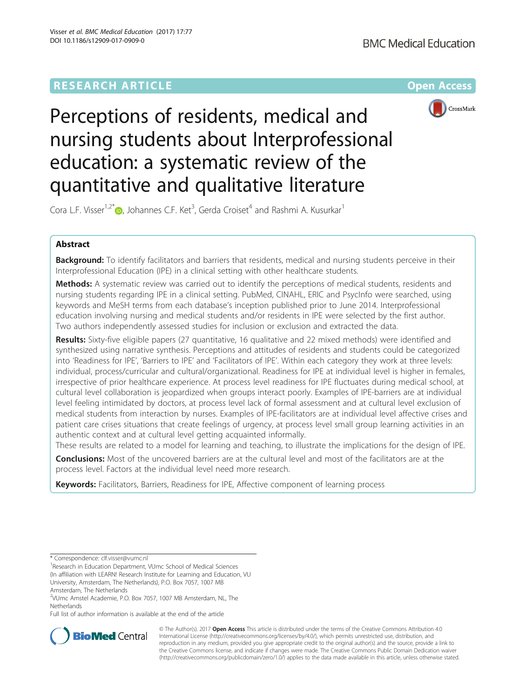# **RESEARCH ARTICLE Example 2014 12:30 The Company Access** (RESEARCH ARTICLE



Perceptions of residents, medical and nursing students about Interprofessional education: a systematic review of the quantitative and qualitative literature

Cora L.F. Visser $^{1,2^*}$  $^{1,2^*}$  $^{1,2^*}$  , Johannes C.F. Ket<sup>3</sup>, Gerda Croiset<sup>4</sup> and Rashmi A. Kusurkar<sup>1</sup>

## Abstract

Background: To identify facilitators and barriers that residents, medical and nursing students perceive in their Interprofessional Education (IPE) in a clinical setting with other healthcare students.

Methods: A systematic review was carried out to identify the perceptions of medical students, residents and nursing students regarding IPE in a clinical setting. PubMed, CINAHL, ERIC and PsycInfo were searched, using keywords and MeSH terms from each database's inception published prior to June 2014. Interprofessional education involving nursing and medical students and/or residents in IPE were selected by the first author. Two authors independently assessed studies for inclusion or exclusion and extracted the data.

Results: Sixty-five eligible papers (27 quantitative, 16 qualitative and 22 mixed methods) were identified and synthesized using narrative synthesis. Perceptions and attitudes of residents and students could be categorized into 'Readiness for IPE', 'Barriers to IPE' and 'Facilitators of IPE'. Within each category they work at three levels: individual, process/curricular and cultural/organizational. Readiness for IPE at individual level is higher in females, irrespective of prior healthcare experience. At process level readiness for IPE fluctuates during medical school, at cultural level collaboration is jeopardized when groups interact poorly. Examples of IPE-barriers are at individual level feeling intimidated by doctors, at process level lack of formal assessment and at cultural level exclusion of medical students from interaction by nurses. Examples of IPE-facilitators are at individual level affective crises and patient care crises situations that create feelings of urgency, at process level small group learning activities in an authentic context and at cultural level getting acquainted informally.

These results are related to a model for learning and teaching, to illustrate the implications for the design of IPE.

**Conclusions:** Most of the uncovered barriers are at the cultural level and most of the facilitators are at the process level. Factors at the individual level need more research.

Keywords: Facilitators, Barriers, Readiness for IPE, Affective component of learning process

<sup>1</sup> Research in Education Department, VUmc School of Medical Sciences (In affiliation with LEARN! Research Institute for Learning and Education, VU University, Amsterdam, The Netherlands), P.O. Box 7057, 1007 MB

Amsterdam, The Netherlands

Full list of author information is available at the end of the article



© The Author(s). 2017 **Open Access** This article is distributed under the terms of the Creative Commons Attribution 4.0 International License [\(http://creativecommons.org/licenses/by/4.0/](http://creativecommons.org/licenses/by/4.0/)), which permits unrestricted use, distribution, and reproduction in any medium, provided you give appropriate credit to the original author(s) and the source, provide a link to the Creative Commons license, and indicate if changes were made. The Creative Commons Public Domain Dedication waiver [\(http://creativecommons.org/publicdomain/zero/1.0/](http://creativecommons.org/publicdomain/zero/1.0/)) applies to the data made available in this article, unless otherwise stated.

<sup>\*</sup> Correspondence: [clf.visser@vumc.nl](mailto:clf.visser@vumc.nl) <sup>1</sup>

<sup>2</sup> VUmc Amstel Academie, P.O. Box 7057, 1007 MB Amsterdam, NL, The **Netherlands**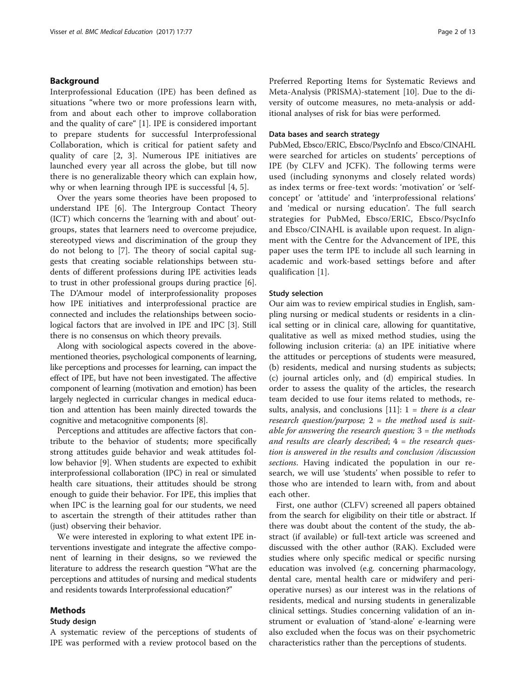## Background

Interprofessional Education (IPE) has been defined as situations "where two or more professions learn with, from and about each other to improve collaboration and the quality of care" [\[1](#page-10-0)]. IPE is considered important to prepare students for successful Interprofessional Collaboration, which is critical for patient safety and quality of care [[2, 3\]](#page-10-0). Numerous IPE initiatives are launched every year all across the globe, but till now there is no generalizable theory which can explain how, why or when learning through IPE is successful [\[4](#page-10-0), [5](#page-10-0)].

Over the years some theories have been proposed to understand IPE [[6\]](#page-10-0). The Intergroup Contact Theory (ICT) which concerns the 'learning with and about' outgroups, states that learners need to overcome prejudice, stereotyped views and discrimination of the group they do not belong to [[7\]](#page-10-0). The theory of social capital suggests that creating sociable relationships between students of different professions during IPE activities leads to trust in other professional groups during practice [\[6](#page-10-0)]. The D'Amour model of interprofessionality proposes how IPE initiatives and interprofessional practice are connected and includes the relationships between sociological factors that are involved in IPE and IPC [[3\]](#page-10-0). Still there is no consensus on which theory prevails.

Along with sociological aspects covered in the abovementioned theories, psychological components of learning, like perceptions and processes for learning, can impact the effect of IPE, but have not been investigated. The affective component of learning (motivation and emotion) has been largely neglected in curricular changes in medical education and attention has been mainly directed towards the cognitive and metacognitive components [\[8](#page-10-0)].

Perceptions and attitudes are affective factors that contribute to the behavior of students; more specifically strong attitudes guide behavior and weak attitudes follow behavior [\[9\]](#page-10-0). When students are expected to exhibit interprofessional collaboration (IPC) in real or simulated health care situations, their attitudes should be strong enough to guide their behavior. For IPE, this implies that when IPC is the learning goal for our students, we need to ascertain the strength of their attitudes rather than (just) observing their behavior.

We were interested in exploring to what extent IPE interventions investigate and integrate the affective component of learning in their designs, so we reviewed the literature to address the research question "What are the perceptions and attitudes of nursing and medical students and residents towards Interprofessional education?"

## Methods

#### Study design

A systematic review of the perceptions of students of IPE was performed with a review protocol based on the

Preferred Reporting Items for Systematic Reviews and Meta-Analysis (PRISMA)-statement [[10](#page-10-0)]. Due to the diversity of outcome measures, no meta-analysis or additional analyses of risk for bias were performed.

#### Data bases and search strategy

PubMed, Ebsco/ERIC, Ebsco/PsycInfo and Ebsco/CINAHL were searched for articles on students' perceptions of IPE (by CLFV and JCFK). The following terms were used (including synonyms and closely related words) as index terms or free-text words: 'motivation' or 'selfconcept' or 'attitude' and 'interprofessional relations' and 'medical or nursing education'. The full search strategies for PubMed, Ebsco/ERIC, Ebsco/PsycInfo and Ebsco/CINAHL is available upon request. In alignment with the Centre for the Advancement of IPE, this paper uses the term IPE to include all such learning in academic and work-based settings before and after qualification [[1\]](#page-10-0).

## Study selection

Our aim was to review empirical studies in English, sampling nursing or medical students or residents in a clinical setting or in clinical care, allowing for quantitative, qualitative as well as mixed method studies, using the following inclusion criteria: (a) an IPE initiative where the attitudes or perceptions of students were measured, (b) residents, medical and nursing students as subjects; (c) journal articles only, and (d) empirical studies. In order to assess the quality of the articles, the research team decided to use four items related to methods, re-sults, analysis, and conclusions [[11\]](#page-10-0):  $1 = there$  is a clear research question/purpose;  $2 =$  the method used is suitable for answering the research question;  $3 =$  the methods and results are clearly described;  $4$  = the research question is answered in the results and conclusion /discussion sections. Having indicated the population in our research, we will use 'students' when possible to refer to those who are intended to learn with, from and about each other.

First, one author (CLFV) screened all papers obtained from the search for eligibility on their title or abstract. If there was doubt about the content of the study, the abstract (if available) or full-text article was screened and discussed with the other author (RAK). Excluded were studies where only specific medical or specific nursing education was involved (e.g. concerning pharmacology, dental care, mental health care or midwifery and perioperative nurses) as our interest was in the relations of residents, medical and nursing students in generalizable clinical settings. Studies concerning validation of an instrument or evaluation of 'stand-alone' e-learning were also excluded when the focus was on their psychometric characteristics rather than the perceptions of students.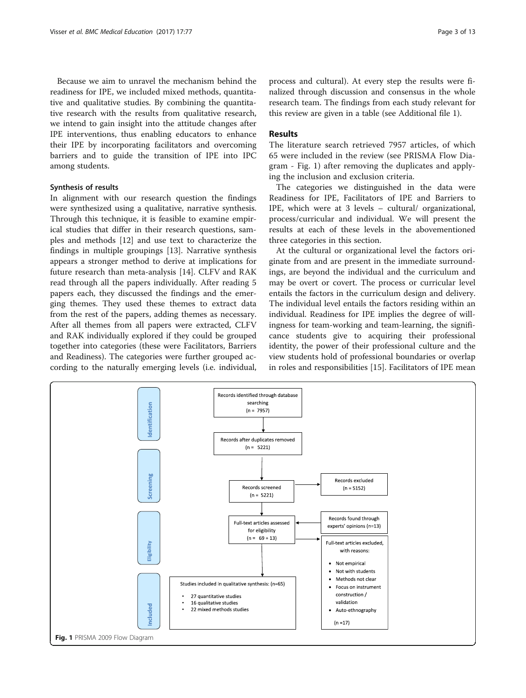Because we aim to unravel the mechanism behind the readiness for IPE, we included mixed methods, quantitative and qualitative studies. By combining the quantitative research with the results from qualitative research, we intend to gain insight into the attitude changes after IPE interventions, thus enabling educators to enhance their IPE by incorporating facilitators and overcoming barriers and to guide the transition of IPE into IPC among students.

#### Synthesis of results

In alignment with our research question the findings were synthesized using a qualitative, narrative synthesis. Through this technique, it is feasible to examine empirical studies that differ in their research questions, samples and methods [\[12](#page-10-0)] and use text to characterize the findings in multiple groupings [[13\]](#page-10-0). Narrative synthesis appears a stronger method to derive at implications for future research than meta-analysis [\[14](#page-10-0)]. CLFV and RAK read through all the papers individually. After reading 5 papers each, they discussed the findings and the emerging themes. They used these themes to extract data from the rest of the papers, adding themes as necessary. After all themes from all papers were extracted, CLFV and RAK individually explored if they could be grouped together into categories (these were Facilitators, Barriers and Readiness). The categories were further grouped according to the naturally emerging levels (i.e. individual,

process and cultural). At every step the results were finalized through discussion and consensus in the whole research team. The findings from each study relevant for this review are given in a table (see Additional file [1\)](#page-10-0).

## Results

The literature search retrieved 7957 articles, of which 65 were included in the review (see PRISMA Flow Diagram - Fig. 1) after removing the duplicates and applying the inclusion and exclusion criteria.

The categories we distinguished in the data were Readiness for IPE, Facilitators of IPE and Barriers to IPE, which were at 3 levels – cultural/ organizational, process/curricular and individual. We will present the results at each of these levels in the abovementioned three categories in this section.

At the cultural or organizational level the factors originate from and are present in the immediate surroundings, are beyond the individual and the curriculum and may be overt or covert. The process or curricular level entails the factors in the curriculum design and delivery. The individual level entails the factors residing within an individual. Readiness for IPE implies the degree of willingness for team-working and team-learning, the significance students give to acquiring their professional identity, the power of their professional culture and the view students hold of professional boundaries or overlap in roles and responsibilities [[15](#page-10-0)]. Facilitators of IPE mean

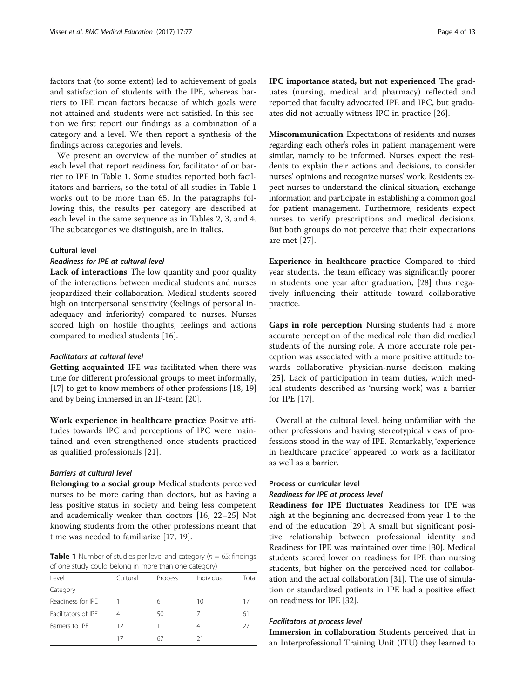<span id="page-3-0"></span>factors that (to some extent) led to achievement of goals and satisfaction of students with the IPE, whereas barriers to IPE mean factors because of which goals were not attained and students were not satisfied. In this section we first report our findings as a combination of a category and a level. We then report a synthesis of the findings across categories and levels.

We present an overview of the number of studies at each level that report readiness for, facilitator of or barrier to IPE in Table 1. Some studies reported both facilitators and barriers, so the total of all studies in Table 1 works out to be more than 65. In the paragraphs following this, the results per category are described at each level in the same sequence as in Tables [2,](#page-4-0) [3,](#page-5-0) and [4](#page-6-0). The subcategories we distinguish, are in italics.

## Cultural level

## Readiness for IPE at cultural level

Lack of interactions The low quantity and poor quality of the interactions between medical students and nurses jeopardized their collaboration. Medical students scored high on interpersonal sensitivity (feelings of personal inadequacy and inferiority) compared to nurses. Nurses scored high on hostile thoughts, feelings and actions compared to medical students [[16](#page-10-0)].

## Facilitators at cultural level

Getting acquainted IPE was facilitated when there was time for different professional groups to meet informally, [[17](#page-10-0)] to get to know members of other professions [\[18, 19](#page-10-0)] and by being immersed in an IP-team [\[20\]](#page-10-0).

Work experience in healthcare practice Positive attitudes towards IPC and perceptions of IPC were maintained and even strengthened once students practiced as qualified professionals [[21\]](#page-10-0).

### Barriers at cultural level

Belonging to a social group Medical students perceived nurses to be more caring than doctors, but as having a less positive status in society and being less competent and academically weaker than doctors [[16](#page-10-0), [22](#page-10-0)–[25](#page-10-0)] Not knowing students from the other professions meant that time was needed to familiarize [[17, 19](#page-10-0)].

**Table 1** Number of studies per level and category ( $n = 65$ ; findings of one study could belong in more than one category)

| Level               | Cultural | Process | Individual | Total |
|---------------------|----------|---------|------------|-------|
| Category            |          |         |            |       |
| Readiness for IPF   |          | 6       | 10         | 17    |
| Facilitators of IPF | 4        | 50      |            | 61    |
| Barriers to IPF     | 12       | 11      | 4          | 27    |
|                     | 17       | 67      | 21         |       |

IPC importance stated, but not experienced The graduates (nursing, medical and pharmacy) reflected and reported that faculty advocated IPE and IPC, but graduates did not actually witness IPC in practice [\[26](#page-10-0)].

Miscommunication Expectations of residents and nurses regarding each other's roles in patient management were similar, namely to be informed. Nurses expect the residents to explain their actions and decisions, to consider nurses' opinions and recognize nurses' work. Residents expect nurses to understand the clinical situation, exchange information and participate in establishing a common goal for patient management. Furthermore, residents expect nurses to verify prescriptions and medical decisions. But both groups do not perceive that their expectations are met [[27\]](#page-11-0).

Experience in healthcare practice Compared to third year students, the team efficacy was significantly poorer in students one year after graduation, [[28\]](#page-11-0) thus negatively influencing their attitude toward collaborative practice.

Gaps in role perception Nursing students had a more accurate perception of the medical role than did medical students of the nursing role. A more accurate role perception was associated with a more positive attitude towards collaborative physician-nurse decision making [[25\]](#page-10-0). Lack of participation in team duties, which medical students described as 'nursing work', was a barrier for IPE [\[17](#page-10-0)].

Overall at the cultural level, being unfamiliar with the other professions and having stereotypical views of professions stood in the way of IPE. Remarkably, 'experience in healthcare practice' appeared to work as a facilitator as well as a barrier.

## Process or curricular level Readiness for IPE at process level

## Readiness for IPE fluctuates Readiness for IPE was high at the beginning and decreased from year 1 to the end of the education [\[29](#page-11-0)]. A small but significant positive relationship between professional identity and Readiness for IPE was maintained over time [[30](#page-11-0)]. Medical students scored lower on readiness for IPE than nursing students, but higher on the perceived need for collaboration and the actual collaboration [[31](#page-11-0)]. The use of simulation or standardized patients in IPE had a positive effect on readiness for IPE [\[32\]](#page-11-0).

## Facilitators at process level

Immersion in collaboration Students perceived that in an Interprofessional Training Unit (ITU) they learned to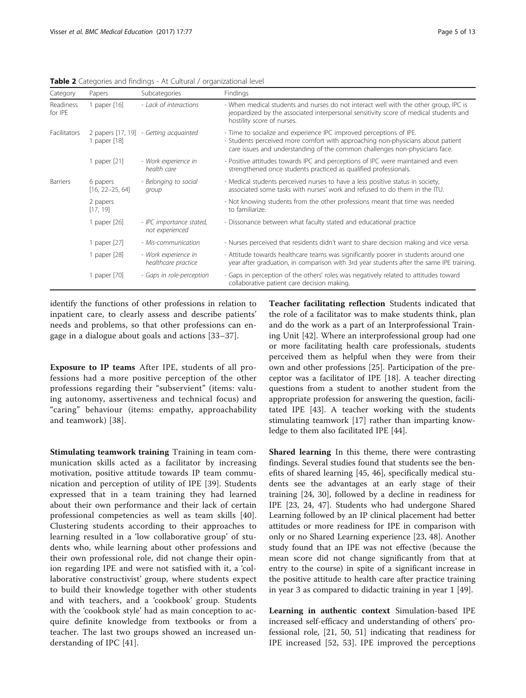| Category             | Papers                          | Subcategories                               | Findings                                                                                                                                                                                                                              |
|----------------------|---------------------------------|---------------------------------------------|---------------------------------------------------------------------------------------------------------------------------------------------------------------------------------------------------------------------------------------|
| Readiness<br>for IPE | 1 paper [16]                    | - Lack of interactions                      | - When medical students and nurses do not interact well with the other group, IPC is<br>jeopardized by the associated interpersonal sensitivity score of medical students and<br>hostility score of nurses.                           |
| Facilitators         | 1 paper [18]                    | 2 papers [17, 19] - Getting acquainted      | - Time to socialize and experience IPC improved perceptions of IPE.<br>- Students perceived more comfort with approaching non-physicians about patient<br>care issues and understanding of the common challenges non-physicians face. |
|                      | 1 paper [21]                    | - Work experience in<br>health care         | - Positive attitudes towards IPC and perceptions of IPC were maintained and even<br>strengthened once students practiced as qualified professionals.                                                                                  |
| <b>Barriers</b>      | 6 papers<br>$[16, 22 - 25, 64]$ | - Belonging to social<br>group              | - Medical students perceived nurses to have a less positive status in society,<br>associated some tasks with nurses' work and refused to do them in the ITU.                                                                          |
|                      | 2 papers<br>[17, 19]            |                                             | - Not knowing students from the other professions meant that time was needed<br>to familiarize.                                                                                                                                       |
|                      | 1 paper [26]                    | - IPC importance stated,<br>not experienced | - Dissonance between what faculty stated and educational practice                                                                                                                                                                     |
|                      | 1 paper [27]                    | - Mis-communication                         | - Nurses perceived that residents didn't want to share decision making and vice versa.                                                                                                                                                |
|                      | 1 paper [28]                    | - Work experience in<br>healthcare practice | - Attitude towards healthcare teams was significantly poorer in students around one<br>year after graduation, in comparison with 3rd year students after the same IPE training                                                        |
|                      | 1 paper [70]                    | - Gaps in role-perception                   | - Gaps in perception of the others' roles was negatively related to attitudes toward<br>collaborative patient care decision making.                                                                                                   |

<span id="page-4-0"></span>Table 2 Categories and findings - At Cultural / organizational level

identify the functions of other professions in relation to inpatient care, to clearly assess and describe patients' needs and problems, so that other professions can engage in a dialogue about goals and actions [[33](#page-11-0)–[37](#page-11-0)].

Exposure to IP teams After IPE, students of all professions had a more positive perception of the other professions regarding their "subservient" (items: valuing autonomy, assertiveness and technical focus) and "caring" behaviour (items: empathy, approachability and teamwork) [[38](#page-11-0)].

Stimulating teamwork training Training in team communication skills acted as a facilitator by increasing motivation, positive attitude towards IP team communication and perception of utility of IPE [[39](#page-11-0)]. Students expressed that in a team training they had learned about their own performance and their lack of certain professional competencies as well as team skills [\[40](#page-11-0)]. Clustering students according to their approaches to learning resulted in a 'low collaborative group' of students who, while learning about other professions and their own professional role, did not change their opinion regarding IPE and were not satisfied with it, a 'collaborative constructivist' group, where students expect to build their knowledge together with other students and with teachers, and a 'cookbook' group. Students with the 'cookbook style' had as main conception to acquire definite knowledge from textbooks or from a teacher. The last two groups showed an increased understanding of IPC [[41\]](#page-11-0).

Teacher facilitating reflection Students indicated that the role of a facilitator was to make students think, plan and do the work as a part of an Interprofessional Training Unit [\[42\]](#page-11-0). Where an interprofessional group had one or more facilitating health care professionals, students perceived them as helpful when they were from their own and other professions [[25](#page-10-0)]. Participation of the preceptor was a facilitator of IPE [[18](#page-10-0)]. A teacher directing questions from a student to another student from the appropriate profession for answering the question, facilitated IPE [[43\]](#page-11-0). A teacher working with the students stimulating teamwork [[17\]](#page-10-0) rather than imparting knowledge to them also facilitated IPE [\[44\]](#page-11-0).

Shared learning In this theme, there were contrasting findings. Several studies found that students see the benefits of shared learning [\[45, 46](#page-11-0)], specifically medical students see the advantages at an early stage of their training [[24,](#page-10-0) [30\]](#page-11-0), followed by a decline in readiness for IPE [[23, 24](#page-10-0), [47](#page-11-0)]. Students who had undergone Shared Learning followed by an IP clinical placement had better attitudes or more readiness for IPE in comparison with only or no Shared Learning experience [\[23,](#page-10-0) [48](#page-11-0)]. Another study found that an IPE was not effective (because the mean score did not change significantly from that at entry to the course) in spite of a significant increase in the positive attitude to health care after practice training in year 3 as compared to didactic training in year 1 [[49\]](#page-11-0).

Learning in authentic context Simulation-based IPE increased self-efficacy and understanding of others' professional role, [\[21](#page-10-0), [50, 51](#page-11-0)] indicating that readiness for IPE increased [\[52](#page-11-0), [53](#page-11-0)]. IPE improved the perceptions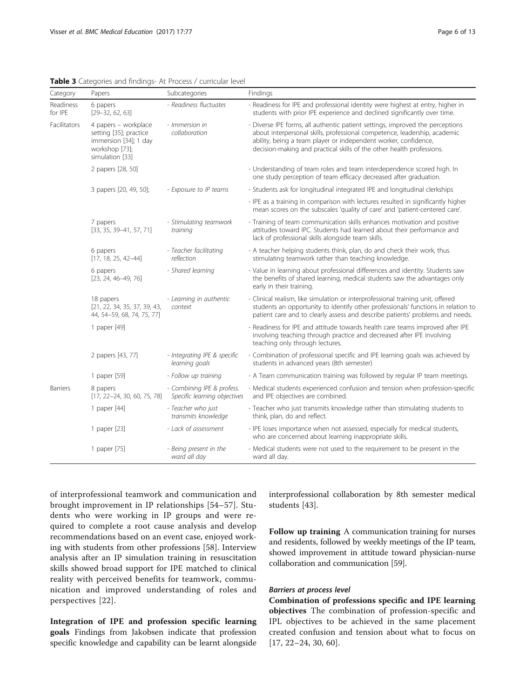<span id="page-5-0"></span>

|  | Table 3 Categories and findings- At Process / curricular level |  |  |
|--|----------------------------------------------------------------|--|--|
|  |                                                                |  |  |

| Category             | Papers                                                                                                       | Subcategories                                              | Findings                                                                                                                                                                                                                                                                                               |
|----------------------|--------------------------------------------------------------------------------------------------------------|------------------------------------------------------------|--------------------------------------------------------------------------------------------------------------------------------------------------------------------------------------------------------------------------------------------------------------------------------------------------------|
| Readiness<br>for IPF | 6 papers<br>$[29-32, 62, 63]$                                                                                | - Readiness fluctuates                                     | - Readiness for IPE and professional identity were highest at entry, higher in<br>students with prior IPE experience and declined significantly over time.                                                                                                                                             |
| Facilitators         | 4 papers - workplace<br>setting [35]; practice<br>immersion [34]; 1 day<br>workshop [73];<br>simulation [33] | - Immersion in<br>collaboration                            | - Diverse IPE forms, all authentic patient settings, improved the perceptions<br>about interpersonal skills, professional competence, leadership, academic<br>ability, being a team player or independent worker, confidence,<br>decision-making and practical skills of the other health professions. |
|                      | 2 papers [28, 50]                                                                                            |                                                            | - Understanding of team roles and team interdependence scored high. In<br>one study perception of team efficacy decreased after graduation.                                                                                                                                                            |
|                      | 3 papers [20, 49, 50];                                                                                       | - Exposure to IP teams                                     | - Students ask for longitudinal integrated IPE and longitudinal clerkships                                                                                                                                                                                                                             |
|                      |                                                                                                              |                                                            | - IPE as a training in comparison with lectures resulted in significantly higher<br>mean scores on the subscales 'quality of care' and 'patient-centered care'.                                                                                                                                        |
|                      | 7 papers<br>$[33, 35, 39-41, 57, 71]$                                                                        | - Stimulating teamwork<br>training                         | - Training of team communication skills enhances motivation and positive<br>attitudes toward IPC. Students had learned about their performance and<br>lack of professional skills alongside team skills.                                                                                               |
|                      | 6 papers<br>$[17, 18, 25, 42-44]$                                                                            | - Teacher facilitating<br>reflection                       | - A teacher helping students think, plan, do and check their work, thus<br>stimulating teamwork rather than teaching knowledge.                                                                                                                                                                        |
|                      | 6 papers<br>$[23, 24, 46-49, 76]$                                                                            | - Shared learning                                          | - Value in learning about professional differences and identity. Students saw<br>the benefits of shared learning, medical students saw the advantages only<br>early in their training.                                                                                                                 |
|                      | 18 papers<br>[21, 22, 34, 35, 37, 39, 43,<br>44, 54-59, 68, 74, 75, 77]                                      | - Learning in authentic<br>context                         | - Clinical realism, like simulation or interprofessional training unit, offered<br>students an opportunity to identify other professionals' functions in relation to<br>patient care and to clearly assess and describe patients' problems and needs.                                                  |
|                      | 1 paper [49]                                                                                                 |                                                            | - Readiness for IPE and attitude towards health care teams improved after IPE<br>involving teaching through practice and decreased after IPE involving<br>teaching only through lectures.                                                                                                              |
|                      | 2 papers [43, 77]                                                                                            | - Integrating IPE & specific<br>learning goals             | - Combination of professional specific and IPE learning goals was achieved by<br>students in advanced years (8th semester)                                                                                                                                                                             |
|                      | 1 paper [59]                                                                                                 | - Follow up training                                       | - A Team communication training was followed by regular IP team meetings.                                                                                                                                                                                                                              |
| <b>Barriers</b>      | 8 papers<br>$[17, 22 - 24, 30, 60, 75, 78]$                                                                  | - Combining IPE & profess.<br>Specific learning objectives | - Medical students experienced confusion and tension when profession-specific<br>and IPE objectives are combined.                                                                                                                                                                                      |
|                      | 1 paper [44]                                                                                                 | - Teacher who just<br>transmits knowledge                  | - Teacher who just transmits knowledge rather than stimulating students to<br>think, plan, do and reflect.                                                                                                                                                                                             |
|                      | 1 paper [23]                                                                                                 | - Lack of assessment                                       | - IPE loses importance when not assessed, especially for medical students,<br>who are concerned about learning inappropriate skills.                                                                                                                                                                   |
|                      | 1 paper [75]                                                                                                 | - Being present in the<br>ward all day                     | - Medical students were not used to the requirement to be present in the<br>ward all day.                                                                                                                                                                                                              |

of interprofessional teamwork and communication and brought improvement in IP relationships [[54](#page-11-0)–[57](#page-11-0)]. Students who were working in IP groups and were required to complete a root cause analysis and develop recommendations based on an event case, enjoyed working with students from other professions [[58\]](#page-11-0). Interview analysis after an IP simulation training in resuscitation skills showed broad support for IPE matched to clinical reality with perceived benefits for teamwork, communication and improved understanding of roles and perspectives [\[22\]](#page-10-0).

Integration of IPE and profession specific learning goals Findings from Jakobsen indicate that profession specific knowledge and capability can be learnt alongside interprofessional collaboration by 8th semester medical students [\[43\]](#page-11-0).

Follow up training A communication training for nurses and residents, followed by weekly meetings of the IP team, showed improvement in attitude toward physician-nurse collaboration and communication [\[59\]](#page-11-0).

#### Barriers at process level

Combination of professions specific and IPE learning objectives The combination of profession-specific and IPL objectives to be achieved in the same placement created confusion and tension about what to focus on [[17, 22](#page-10-0)–[24](#page-10-0), [30](#page-11-0), [60\]](#page-11-0).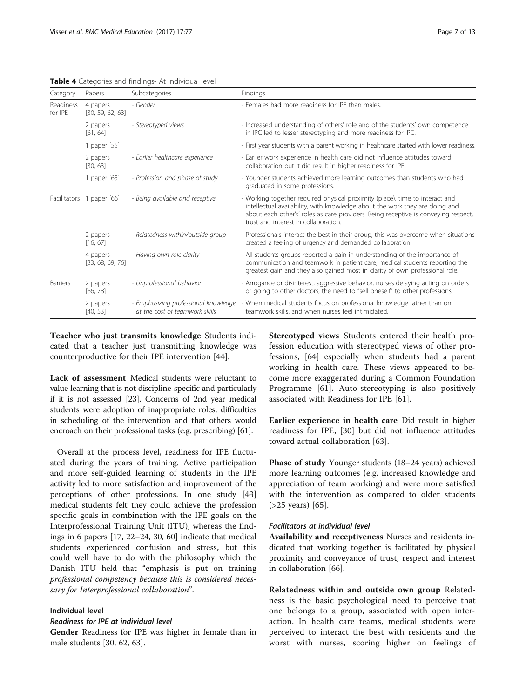| Category             | Papers                       | Subcategories                                                          | Findings                                                                                                                                                                                                                                                                                  |
|----------------------|------------------------------|------------------------------------------------------------------------|-------------------------------------------------------------------------------------------------------------------------------------------------------------------------------------------------------------------------------------------------------------------------------------------|
| Readiness<br>for IPE | 4 papers<br>[30, 59, 62, 63] | - Gender                                                               | - Females had more readiness for IPE than males.                                                                                                                                                                                                                                          |
|                      | 2 papers<br>[61, 64]         | - Stereotyped views                                                    | - Increased understanding of others' role and of the students' own competence<br>in IPC led to lesser stereotyping and more readiness for IPC.                                                                                                                                            |
|                      | 1 paper [55]                 |                                                                        | - First year students with a parent working in healthcare started with lower readiness.                                                                                                                                                                                                   |
|                      | 2 papers<br>[30, 63]         | - Earlier healthcare experience                                        | - Earlier work experience in health care did not influence attitudes toward<br>collaboration but it did result in higher readiness for IPE.                                                                                                                                               |
|                      | 1 paper [65]                 | - Profession and phase of study                                        | - Younger students achieved more learning outcomes than students who had<br>graduated in some professions.                                                                                                                                                                                |
| Facilitators         | 1 paper [66]                 | - Being available and receptive                                        | - Working together required physical proximity (place), time to interact and<br>intellectual availability, with knowledge about the work they are doing and<br>about each other's' roles as care providers. Being receptive is conveying respect,<br>trust and interest in collaboration. |
|                      | 2 papers<br>[16, 67]         | - Relatedness within/outside group                                     | - Professionals interact the best in their group, this was overcome when situations<br>created a feeling of urgency and demanded collaboration.                                                                                                                                           |
|                      | 4 papers<br>[33, 68, 69, 76] | - Having own role clarity                                              | - All students groups reported a gain in understanding of the importance of<br>communication and teamwork in patient care; medical students reporting the<br>greatest gain and they also gained most in clarity of own professional role.                                                 |
| <b>Barriers</b>      | 2 papers<br>[66, 78]         | - Unprofessional behavior                                              | - Arrogance or disinterest, aggressive behavior, nurses delaying acting on orders<br>or going to other doctors, the need to "sell oneself" to other professions.                                                                                                                          |
|                      | 2 papers<br>[40, 53]         | - Emphasizing professional knowledge<br>at the cost of teamwork skills | - When medical students focus on professional knowledge rather than on<br>teamwork skills, and when nurses feel intimidated.                                                                                                                                                              |

<span id="page-6-0"></span>Table 4 Categories and findings- At Individual level

Teacher who just transmits knowledge Students indicated that a teacher just transmitting knowledge was counterproductive for their IPE intervention [[44\]](#page-11-0).

Lack of assessment Medical students were reluctant to value learning that is not discipline-specific and particularly if it is not assessed [\[23\]](#page-10-0). Concerns of 2nd year medical students were adoption of inappropriate roles, difficulties in scheduling of the intervention and that others would encroach on their professional tasks (e.g. prescribing) [\[61\]](#page-11-0).

Overall at the process level, readiness for IPE fluctuated during the years of training. Active participation and more self-guided learning of students in the IPE activity led to more satisfaction and improvement of the perceptions of other professions. In one study [[43](#page-11-0)] medical students felt they could achieve the profession specific goals in combination with the IPE goals on the Interprofessional Training Unit (ITU), whereas the findings in 6 papers [[17, 22](#page-10-0)–[24](#page-10-0), [30](#page-11-0), [60](#page-11-0)] indicate that medical students experienced confusion and stress, but this could well have to do with the philosophy which the Danish ITU held that "emphasis is put on training professional competency because this is considered necessary for Interprofessional collaboration".

## Individual level

## Readiness for IPE at individual level

Gender Readiness for IPE was higher in female than in male students [[30](#page-11-0), [62](#page-11-0), [63](#page-11-0)].

Stereotyped views Students entered their health profession education with stereotyped views of other professions, [\[64](#page-11-0)] especially when students had a parent working in health care. These views appeared to become more exaggerated during a Common Foundation Programme [\[61](#page-11-0)]. Auto-stereotyping is also positively associated with Readiness for IPE [\[61](#page-11-0)].

Earlier experience in health care Did result in higher readiness for IPE, [\[30](#page-11-0)] but did not influence attitudes toward actual collaboration [\[63](#page-11-0)].

Phase of study Younger students (18–24 years) achieved more learning outcomes (e.g. increased knowledge and appreciation of team working) and were more satisfied with the intervention as compared to older students (>25 years) [[65\]](#page-11-0).

## Facilitators at individual level

Availability and receptiveness Nurses and residents indicated that working together is facilitated by physical proximity and conveyance of trust, respect and interest in collaboration [\[66](#page-11-0)].

Relatedness within and outside own group Relatedness is the basic psychological need to perceive that one belongs to a group, associated with open interaction. In health care teams, medical students were perceived to interact the best with residents and the worst with nurses, scoring higher on feelings of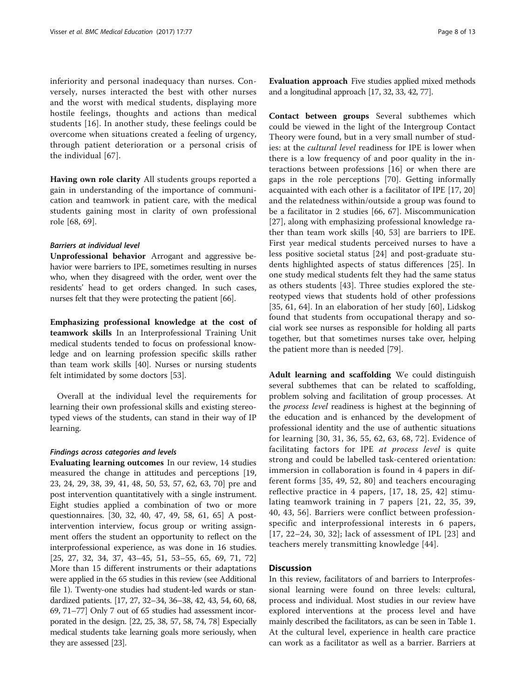inferiority and personal inadequacy than nurses. Conversely, nurses interacted the best with other nurses and the worst with medical students, displaying more hostile feelings, thoughts and actions than medical students [[16\]](#page-10-0). In another study, these feelings could be overcome when situations created a feeling of urgency, through patient deterioration or a personal crisis of the individual [[67](#page-11-0)].

Having own role clarity All students groups reported a gain in understanding of the importance of communication and teamwork in patient care, with the medical students gaining most in clarity of own professional role [[68, 69](#page-11-0)].

## Barriers at individual level

Unprofessional behavior Arrogant and aggressive behavior were barriers to IPE, sometimes resulting in nurses who, when they disagreed with the order, went over the residents' head to get orders changed. In such cases, nurses felt that they were protecting the patient [\[66\]](#page-11-0).

Emphasizing professional knowledge at the cost of teamwork skills In an Interprofessional Training Unit medical students tended to focus on professional knowledge and on learning profession specific skills rather than team work skills [\[40\]](#page-11-0). Nurses or nursing students felt intimidated by some doctors [[53\]](#page-11-0).

Overall at the individual level the requirements for learning their own professional skills and existing stereotyped views of the students, can stand in their way of IP learning.

## Findings across categories and levels

Evaluating learning outcomes In our review, 14 studies measured the change in attitudes and perceptions [[19](#page-10-0), [23, 24,](#page-10-0) [29](#page-11-0), [38, 39](#page-11-0), [41, 48](#page-11-0), [50, 53](#page-11-0), [57, 62](#page-11-0), [63, 70](#page-11-0)] pre and post intervention quantitatively with a single instrument. Eight studies applied a combination of two or more questionnaires. [[30, 32](#page-11-0), [40](#page-11-0), [47, 49](#page-11-0), [58, 61](#page-11-0), [65\]](#page-11-0) A postintervention interview, focus group or writing assignment offers the student an opportunity to reflect on the interprofessional experience, as was done in 16 studies. [[25,](#page-10-0) [27, 32, 34](#page-11-0), [37](#page-11-0), [43](#page-11-0)–[45](#page-11-0), [51, 53](#page-11-0)–[55, 65, 69, 71](#page-11-0), [72](#page-12-0)] More than 15 different instruments or their adaptations were applied in the 65 studies in this review (see Additional file [1\)](#page-10-0). Twenty-one studies had student-led wards or standardized patients. [\[17,](#page-10-0) [27](#page-11-0), [32](#page-11-0)–[34](#page-11-0), [36](#page-11-0)–[38, 42](#page-11-0), [43, 54](#page-11-0), [60, 68](#page-11-0), [69](#page-11-0), [71](#page-11-0)–[77](#page-12-0)] Only 7 out of 65 studies had assessment incorporated in the design. [\[22, 25](#page-10-0), [38, 57](#page-11-0), [58,](#page-11-0) [74](#page-12-0), [78\]](#page-12-0) Especially medical students take learning goals more seriously, when they are assessed [[23](#page-10-0)].

Evaluation approach Five studies applied mixed methods and a longitudinal approach [\[17](#page-10-0), [32](#page-11-0), [33](#page-11-0), [42](#page-11-0), [77](#page-12-0)].

Contact between groups Several subthemes which could be viewed in the light of the Intergroup Contact Theory were found, but in a very small number of studies: at the cultural level readiness for IPE is lower when there is a low frequency of and poor quality in the interactions between professions [[16\]](#page-10-0) or when there are gaps in the role perceptions [[70\]](#page-11-0). Getting informally acquainted with each other is a facilitator of IPE [\[17](#page-10-0), [20](#page-10-0)] and the relatedness within/outside a group was found to be a facilitator in 2 studies [[66, 67](#page-11-0)]. Miscommunication [[27\]](#page-11-0), along with emphasizing professional knowledge rather than team work skills [\[40](#page-11-0), [53](#page-11-0)] are barriers to IPE. First year medical students perceived nurses to have a less positive societal status [\[24](#page-10-0)] and post-graduate students highlighted aspects of status differences [[25\]](#page-10-0). In one study medical students felt they had the same status as others students [[43\]](#page-11-0). Three studies explored the stereotyped views that students hold of other professions [[35, 61](#page-11-0), [64](#page-11-0)]. In an elaboration of her study [[60\]](#page-11-0), Lidskog found that students from occupational therapy and social work see nurses as responsible for holding all parts together, but that sometimes nurses take over, helping the patient more than is needed [\[79](#page-12-0)].

Adult learning and scaffolding We could distinguish several subthemes that can be related to scaffolding, problem solving and facilitation of group processes. At the *process level* readiness is highest at the beginning of the education and is enhanced by the development of professional identity and the use of authentic situations for learning [[30](#page-11-0), [31, 36, 55](#page-11-0), [62, 63, 68](#page-11-0), [72\]](#page-12-0). Evidence of facilitating factors for IPE at process level is quite strong and could be labelled task-centered orientation: immersion in collaboration is found in 4 papers in different forms [\[35, 49, 52,](#page-11-0) [80](#page-12-0)] and teachers encouraging reflective practice in 4 papers, [[17](#page-10-0), [18, 25](#page-10-0), [42\]](#page-11-0) stimulating teamwork training in 7 papers [\[21, 22,](#page-10-0) [35](#page-11-0), [39](#page-11-0), [40, 43](#page-11-0), [56](#page-11-0)]. Barriers were conflict between professionspecific and interprofessional interests in 6 papers, [[17](#page-10-0), [22](#page-10-0)–[24](#page-10-0), [30](#page-11-0), [32\]](#page-11-0); lack of assessment of IPL [\[23\]](#page-10-0) and teachers merely transmitting knowledge [[44](#page-11-0)].

## **Discussion**

In this review, facilitators of and barriers to Interprofessional learning were found on three levels: cultural, process and individual. Most studies in our review have explored interventions at the process level and have mainly described the facilitators, as can be seen in Table [1](#page-3-0). At the cultural level, experience in health care practice can work as a facilitator as well as a barrier. Barriers at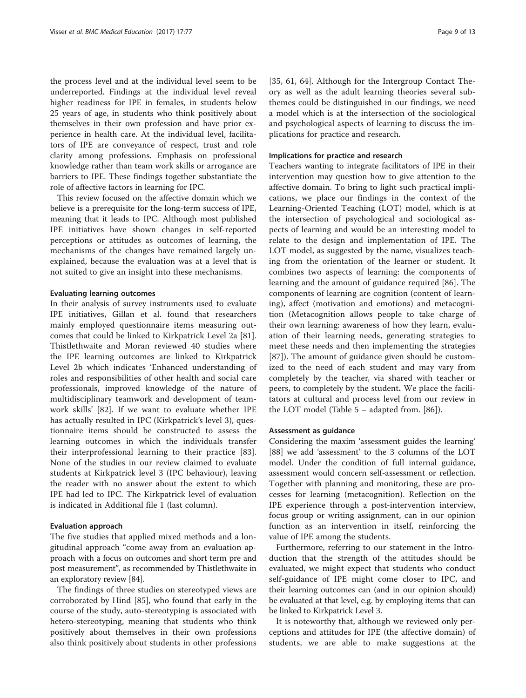the process level and at the individual level seem to be underreported. Findings at the individual level reveal higher readiness for IPE in females, in students below 25 years of age, in students who think positively about themselves in their own profession and have prior experience in health care. At the individual level, facilitators of IPE are conveyance of respect, trust and role clarity among professions. Emphasis on professional knowledge rather than team work skills or arrogance are barriers to IPE. These findings together substantiate the role of affective factors in learning for IPC.

This review focused on the affective domain which we believe is a prerequisite for the long-term success of IPE, meaning that it leads to IPC. Although most published IPE initiatives have shown changes in self-reported perceptions or attitudes as outcomes of learning, the mechanisms of the changes have remained largely unexplained, because the evaluation was at a level that is not suited to give an insight into these mechanisms.

#### Evaluating learning outcomes

In their analysis of survey instruments used to evaluate IPE initiatives, Gillan et al. found that researchers mainly employed questionnaire items measuring outcomes that could be linked to Kirkpatrick Level 2a [\[81](#page-12-0)]. Thistlethwaite and Moran reviewed 40 studies where the IPE learning outcomes are linked to Kirkpatrick Level 2b which indicates 'Enhanced understanding of roles and responsibilities of other health and social care professionals, improved knowledge of the nature of multidisciplinary teamwork and development of teamwork skills' [\[82](#page-12-0)]. If we want to evaluate whether IPE has actually resulted in IPC (Kirkpatrick's level 3), questionnaire items should be constructed to assess the learning outcomes in which the individuals transfer their interprofessional learning to their practice [\[83](#page-12-0)]. None of the studies in our review claimed to evaluate students at Kirkpatrick level 3 (IPC behaviour), leaving the reader with no answer about the extent to which IPE had led to IPC. The Kirkpatrick level of evaluation is indicated in Additional file [1](#page-10-0) (last column).

#### Evaluation approach

The five studies that applied mixed methods and a longitudinal approach "come away from an evaluation approach with a focus on outcomes and short term pre and post measurement", as recommended by Thistlethwaite in an exploratory review [[84](#page-12-0)].

The findings of three studies on stereotyped views are corroborated by Hind [\[85](#page-12-0)], who found that early in the course of the study, auto-stereotyping is associated with hetero-stereotyping, meaning that students who think positively about themselves in their own professions also think positively about students in other professions [[35, 61, 64\]](#page-11-0). Although for the Intergroup Contact Theory as well as the adult learning theories several subthemes could be distinguished in our findings, we need a model which is at the intersection of the sociological and psychological aspects of learning to discuss the implications for practice and research.

#### Implications for practice and research

Teachers wanting to integrate facilitators of IPE in their intervention may question how to give attention to the affective domain. To bring to light such practical implications, we place our findings in the context of the Learning-Oriented Teaching (LOT) model, which is at the intersection of psychological and sociological aspects of learning and would be an interesting model to relate to the design and implementation of IPE. The LOT model, as suggested by the name, visualizes teaching from the orientation of the learner or student. It combines two aspects of learning: the components of learning and the amount of guidance required [[86\]](#page-12-0). The components of learning are cognition (content of learning), affect (motivation and emotions) and metacognition (Metacognition allows people to take charge of their own learning: awareness of how they learn, evaluation of their learning needs, generating strategies to meet these needs and then implementing the strategies [[87\]](#page-12-0)). The amount of guidance given should be customized to the need of each student and may vary from completely by the teacher, via shared with teacher or peers, to completely by the student. We place the facilitators at cultural and process level from our review in the LOT model (Table [5](#page-9-0) – adapted from. [[86\]](#page-12-0)).

#### Assessment as guidance

Considering the maxim 'assessment guides the learning' [[88\]](#page-12-0) we add 'assessment' to the 3 columns of the LOT model. Under the condition of full internal guidance, assessment would concern self-assessment or reflection. Together with planning and monitoring, these are processes for learning (metacognition). Reflection on the IPE experience through a post-intervention interview, focus group or writing assignment, can in our opinion function as an intervention in itself, reinforcing the value of IPE among the students.

Furthermore, referring to our statement in the Introduction that the strength of the attitudes should be evaluated, we might expect that students who conduct self-guidance of IPE might come closer to IPC, and their learning outcomes can (and in our opinion should) be evaluated at that level, e.g. by employing items that can be linked to Kirkpatrick Level 3.

It is noteworthy that, although we reviewed only perceptions and attitudes for IPE (the affective domain) of students, we are able to make suggestions at the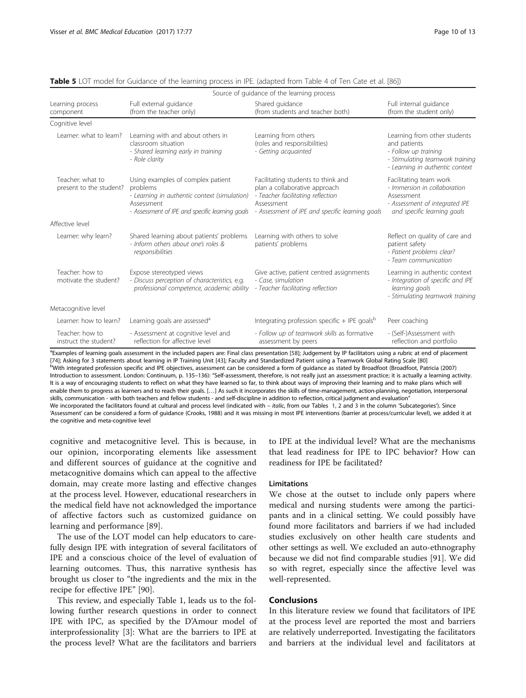|                                             |                                                                                                                                                                | Source of guidance of the learning process                                                                                                                                |                                                                                                                                            |
|---------------------------------------------|----------------------------------------------------------------------------------------------------------------------------------------------------------------|---------------------------------------------------------------------------------------------------------------------------------------------------------------------------|--------------------------------------------------------------------------------------------------------------------------------------------|
| Learning process<br>component               | Full external quidance<br>(from the teacher only)                                                                                                              | Shared guidance<br>(from students and teacher both)                                                                                                                       | Full internal quidance<br>(from the student only)                                                                                          |
| Cognitive level                             |                                                                                                                                                                |                                                                                                                                                                           |                                                                                                                                            |
| Learner: what to learn?                     | Learning with and about others in<br>classroom situation<br>- Shared learning early in training<br>- Role clarity                                              | Learning from others<br>(roles and responsibilities)<br>- Getting acquainted                                                                                              | Learning from other students<br>and patients<br>- Follow up training<br>- Stimulating teamwork training<br>- Learning in authentic context |
| Teacher: what to<br>present to the student? | Using examples of complex patient<br>problems<br>- Learning in authentic context (simulation)<br>Assessment<br>- Assessment of IPE and specific learning goals | Facilitating students to think and<br>plan a collaborative approach<br>- Teacher facilitating reflection<br>Assessment<br>- Assessment of IPE and specific learning goals | Facilitating team work<br>- Immersion in collaboration<br>Assessment<br>- Assessment of integrated IPE<br>and specific learning goals      |
| Affective level                             |                                                                                                                                                                |                                                                                                                                                                           |                                                                                                                                            |
| Learner: why learn?                         | Shared learning about patients' problems<br>- Inform others about one's roles &<br>responsibilities                                                            | Learning with others to solve<br>patients' problems                                                                                                                       | Reflect on quality of care and<br>patient safety<br>- Patient problems clear?<br>- Team communication                                      |
| Teacher: how to<br>motivate the student?    | Expose stereotyped views<br>- Discuss perception of characteristics, e.g.<br>professional competence, academic ability                                         | Give active, patient centred assignments<br>- Case, simulation<br>- Teacher facilitating reflection                                                                       | Learning in authentic context<br>- Integration of specific and IPE<br>learning goals<br>- Stimulating teamwork training                    |
| Metacognitive level                         |                                                                                                                                                                |                                                                                                                                                                           |                                                                                                                                            |
| Learner: how to learn?                      | Learning goals are assessed <sup>a</sup>                                                                                                                       | Integrating profession specific + IPE goals <sup>b</sup>                                                                                                                  | Peer coaching                                                                                                                              |
| Teacher: how to<br>instruct the student?    | - Assessment at cognitive level and<br>reflection for affective level                                                                                          | - Follow up of teamwork skills as formative<br>assessment by peers                                                                                                        | - (Self-)Assessment with<br>reflection and portfolio                                                                                       |

<span id="page-9-0"></span>

| Table 5 LOT model for Guidance of the learning process in IPE. (adapted from Table 4 of Ten Cate et al. [86]) |  |  |  |
|---------------------------------------------------------------------------------------------------------------|--|--|--|
|                                                                                                               |  |  |  |

Examples of learning goals assessment in the included papers are: Final class presentation [\[58](#page-11-0)]; Judgement by IP facilitators using a rubric at end of placement [[74\]](#page-12-0); Asking for 3 statements about learning in IP Training Unit [\[43](#page-11-0)]; Faculty and Standardized Patient using a Teamwork Global Rating Scale [\[80](#page-12-0)]<br>PWith integrated prefecsion specific and IPE objectives, assessment can be s With integrated profession specific and IPE objectives, assessment can be considered a form of guidance as stated by Broadfoot (Broadfoot, Patricia (2007) Introduction to assessment. London: Continuum, p. 135–136): "Self-assessment, therefore, is not really just an assessment practice; it is actually a learning activity. It is a way of encouraging students to reflect on what they have learned so far, to think about ways of improving their learning and to make plans which will enable them to progress as learners and to reach their goals. […] As such it incorporates the skills of time-management, action-planning, negotiation, interpersonal skills, communication - with both teachers and fellow students - and self-discipline in addition to reflection, critical judgment and evaluation" We incorporated the facilitators found at cultural and process level (indicated with – *italic*, from our Tables [1,](#page-3-0) [2](#page-4-0) and [3](#page-5-0) in the column 'Subcategories'). Since 'Assessment' can be considered a form of guidance (Crooks, 1988) and it was missing in most IPE interventions (barrier at process/curricular level), we added it at the cognitive and meta-cognitive level

cognitive and metacognitive level. This is because, in our opinion, incorporating elements like assessment and different sources of guidance at the cognitive and metacognitive domains which can appeal to the affective domain, may create more lasting and effective changes at the process level. However, educational researchers in the medical field have not acknowledged the importance of affective factors such as customized guidance on learning and performance [[89\]](#page-12-0).

The use of the LOT model can help educators to carefully design IPE with integration of several facilitators of IPE and a conscious choice of the level of evaluation of learning outcomes. Thus, this narrative synthesis has brought us closer to "the ingredients and the mix in the recipe for effective IPE" [[90](#page-12-0)].

This review, and especially Table [1,](#page-3-0) leads us to the following further research questions in order to connect IPE with IPC, as specified by the D'Amour model of interprofessionality [\[3](#page-10-0)]: What are the barriers to IPE at the process level? What are the facilitators and barriers to IPE at the individual level? What are the mechanisms that lead readiness for IPE to IPC behavior? How can readiness for IPE be facilitated?

## Limitations

We chose at the outset to include only papers where medical and nursing students were among the participants and in a clinical setting. We could possibly have found more facilitators and barriers if we had included studies exclusively on other health care students and other settings as well. We excluded an auto-ethnography because we did not find comparable studies [\[91](#page-12-0)]. We did so with regret, especially since the affective level was well-represented.

## Conclusions

In this literature review we found that facilitators of IPE at the process level are reported the most and barriers are relatively underreported. Investigating the facilitators and barriers at the individual level and facilitators at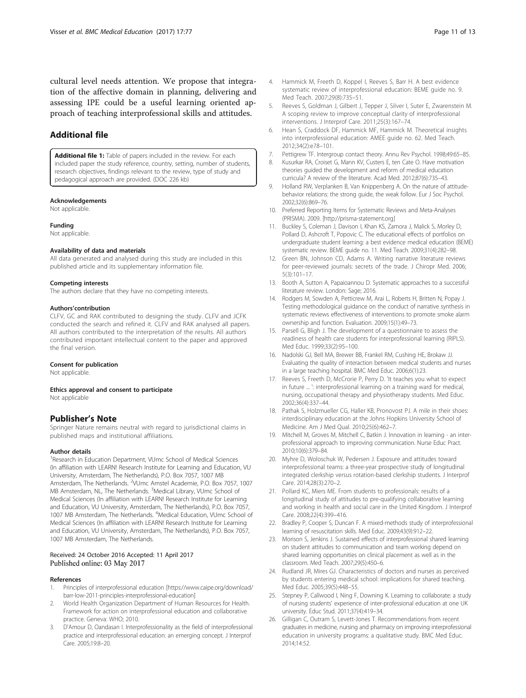<span id="page-10-0"></span>cultural level needs attention. We propose that integration of the affective domain in planning, delivering and assessing IPE could be a useful learning oriented approach of teaching interprofessional skills and attitudes.

## Additional file

[Additional file 1:](dx.doi.org/10.1186/s12909-017-0909-0) Table of papers included in the review. For each included paper the study reference, country, setting, number of students, research objectives, findings relevant to the review, type of study and pedagogical approach are provided. (DOC 226 kb)

#### Acknowledgements

Not applicable.

#### Funding

Not applicable.

#### Availability of data and materials

All data generated and analysed during this study are included in this published article and its supplementary information file.

#### Competing interests

The authors declare that they have no competing interests.

#### Authors'contribution

CLFV, GC and RAK contributed to designing the study. CLFV and JCFK conducted the search and refined it. CLFV and RAK analysed all papers. All authors contributed to the interpretation of the results. All authors contributed important intellectual content to the paper and approved the final version.

#### Consent for publication

Not applicable.

#### Ethics approval and consent to participate

Not applicable

#### Publisher's Note

Springer Nature remains neutral with regard to jurisdictional claims in published maps and institutional affiliations.

#### Author details

<sup>1</sup> Research in Education Department, VUmc School of Medical Sciences (In affiliation with LEARN! Research Institute for Learning and Education, VU University, Amsterdam, The Netherlands), P.O. Box 7057, 1007 MB Amsterdam, The Netherlands. <sup>2</sup>VUmc Amstel Academie, P.O. Box 7057, 1007 MB Amsterdam, NL, The Netherlands. <sup>3</sup>Medical Library, VUmc School of Medical Sciences (In affiliation with LEARN! Research Institute for Learning and Education, VU University, Amsterdam, The Netherlands), P.O. Box 7057, 1007 MB Amsterdam, The Netherlands. <sup>4</sup>Medical Education, VUmc School of Medical Sciences (In affiliation with LEARN! Research Institute for Learning and Education, VU University, Amsterdam, The Netherlands), P.O. Box 7057, 1007 MB Amsterdam, The Netherlands.

#### Received: 24 October 2016 Accepted: 11 April 2017 Published online: 03 May 2017

#### References

- 1. Principles of interprofessional education [[https://www.caipe.org/download/](https://www.caipe.org/download/barr-low-2011-principles-interprofessional-education) [barr-low-2011-principles-interprofessional-education\]](https://www.caipe.org/download/barr-low-2011-principles-interprofessional-education)
- 2. World Health Organization Department of Human Resources for Health. Framework for action on interprofessional education and collaborative practice. Geneva: WHO; 2010.
- 3. D'Amour D, Oandasan I. Interprofessionality as the field of interprofessional practice and interprofessional education: an emerging concept. J Interprof Care. 2005;19:8–20.
- 4. Hammick M, Freeth D, Koppel I, Reeves S, Barr H. A best evidence systematic review of interprofessional education: BEME guide no. 9. Med Teach. 2007;29(8):735–51.
- Reeves S, Goldman J, Gilbert J, Tepper J, Silver I, Suter E, Zwarenstein M. A scoping review to improve conceptual clarity of interprofessional interventions. J Interprof Care. 2011;25(3):167–74.
- 6. Hean S, Craddock DF, Hammick MF, Hammick M. Theoretical insights into interprofessional education: AMEE guide no. 62. Med Teach. 2012;34(2):e78–101.
- 7. Pettigrew TF. Intergroup contact theory. Annu Rev Psychol. 1998;49:65–85.
- 8. Kusurkar RA, Croiset G, Mann KV, Custers E, ten Cate O. Have motivation theories guided the development and reform of medical education curricula? A review of the literature. Acad Med. 2012;87(6):735–43.
- 9. Holland RW, Verplanken B, Van Knippenberg A. On the nature of attitudebehavior relations: the strong guide, the weak follow. Eur J Soc Psychol. 2002;32(6):869–76.
- 10. Preferred Reporting Items for Systematic Reviews and Meta-Analyses (PRISMA). 2009. [\[http://prisma-statement.org\]](http://prisma-statement.org)
- 11. Buckley S, Coleman J, Davison I, Khan KS, Zamora J, Malick S, Morley D, Pollard D, Ashcroft T, Popovic C. The educational effects of portfolios on undergraduate student learning: a best evidence medical education (BEME) systematic review. BEME guide no. 11. Med Teach. 2009;31(4):282–98.
- 12. Green BN, Johnson CD, Adams A. Writing narrative literature reviews for peer-reviewed journals: secrets of the trade. J Chiropr Med. 2006; 5(3):101–17.
- 13. Booth A, Sutton A, Papaioannou D. Systematic approaches to a successful literature review. London: Sage; 2016.
- 14. Rodgers M, Sowden A, Petticrew M, Arai L, Roberts H, Britten N, Popay J. Testing methodological guidance on the conduct of narrative synthesis in systematic reviews effectiveness of interventions to promote smoke alarm ownership and function. Evaluation. 2009;15(1):49–73.
- 15. Parsell G, Bligh J. The development of a questionnaire to assess the readiness of health care students for interprofessional learning (RIPLS). Med Educ. 1999;33(2):95–100.
- 16. Nadolski GJ, Bell MA, Brewer BB, Frankel RM, Cushing HE, Brokaw JJ. Evaluating the quality of interaction between medical students and nurses in a large teaching hospital. BMC Med Educ. 2006;6(1):23.
- 17. Reeves S, Freeth D, McCrorie P, Perry D. 'It teaches you what to expect in future ... ': interprofessional learning on a training ward for medical, nursing, occupational therapy and physiotherapy students. Med Educ. 2002;36(4):337–44.
- 18. Pathak S, Holzmueller CG, Haller KB, Pronovost PJ. A mile in their shoes: interdisciplinary education at the Johns Hopkins University School of Medicine. Am J Med Qual. 2010;25(6):462–7.
- 19. Mitchell M, Groves M, Mitchell C, Batkin J. Innovation in learning an interprofessional approach to improving communication. Nurse Educ Pract. 2010;10(6):379–84.
- 20. Myhre D, Woloschuk W, Pedersen J. Exposure and attitudes toward interprofessional teams: a three-year prospective study of longitudinal integrated clerkship versus rotation-based clerkship students. J Interprof Care. 2014;28(3):270–2.
- 21. Pollard KC, Miers ME. From students to professionals: results of a longitudinal study of attitudes to pre-qualifying collaborative learning and working in health and social care in the United Kingdom. J Interprof Care. 2008;22(4):399–416.
- 22. Bradley P, Cooper S, Duncan F. A mixed-methods study of interprofessional learning of resuscitation skills. Med Educ. 2009;43(9):912–22.
- 23. Morison S, Jenkins J. Sustained effects of interprofessional shared learning on student attitudes to communication and team working depend on shared learning opportunities on clinical placement as well as in the classroom. Med Teach. 2007;29(5):450–6.
- 24. Rudland JR, Mires GJ. Characteristics of doctors and nurses as perceived by students entering medical school: implications for shared teaching. Med Educ. 2005;39(5):448–55.
- 25. Stepney P, Callwood I, Ning F, Downing K. Learning to collaborate: a study of nursing students' experience of inter-professional education at one UK university. Educ Stud. 2011;37(4):419–34.
- 26. Gilligan C, Outram S, Levett-Jones T. Recommendations from recent graduates in medicine, nursing and pharmacy on improving interprofessional education in university programs: a qualitative study. BMC Med Educ. 2014;14:52.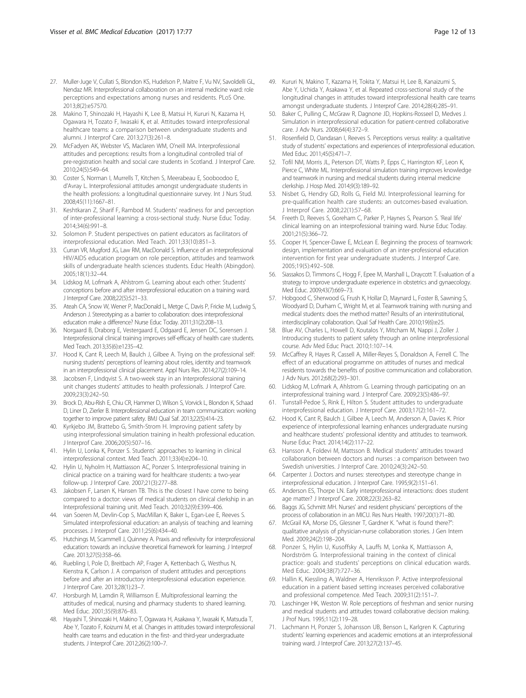- <span id="page-11-0"></span>27. Muller-Juge V, Cullati S, Blondon KS, Hudelson P, Maitre F, Vu NV, Savoldelli GL, Nendaz MR. Interprofessional collaboration on an internal medicine ward: role perceptions and expectations among nurses and residents. PLoS One. 2013;8(2):e57570.
- 28. Makino T, Shinozaki H, Hayashi K, Lee B, Matsui H, Kururi N, Kazama H, Ogawara H, Tozato F, Iwasaki K, et al. Attitudes toward interprofessional healthcare teams: a comparison between undergraduate students and alumni. J Interprof Care. 2013;27(3):261–8.
- 29. McFadyen AK, Webster VS, Maclaren WM, O'neill MA. Interprofessional attitudes and perceptions: results from a longitudinal controlled trial of pre-registration health and social care students in Scotland. J Interprof Care. 2010;24(5):549–64.
- 30. Coster S, Norman I, Murrells T, Kitchen S, Meerabeau E, Sooboodoo E, d'Avray L. Interprofessional attitudes amongst undergraduate students in the health professions: a longitudinal questionnaire survey. Int J Nurs Stud. 2008;45(11):1667–81.
- 31. Keshtkaran Z, Sharif F, Rambod M. Students' readiness for and perception of inter-professional learning: a cross-sectional study. Nurse Educ Today. 2014;34(6):991–8.
- 32. Solomon P. Student perspectives on patient educators as facilitators of interprofessional education. Med Teach. 2011;33(10):851–3.
- 33. Curran VR, Mugford JG, Law RM, MacDonald S. Influence of an interprofessional HIV/AIDS education program on role perception, attitudes and teamwork skills of undergraduate health sciences students. Educ Health (Abingdon). 2005;18(1):32–44.
- 34. Lidskog M, Lofmark A, Ahlstrom G. Learning about each other: Students' conceptions before and after interprofessional education on a training ward. J Interprof Care. 2008;22(5):521–33.
- 35. Ateah CA, Snow W, Wener P, MacDonald L, Metge C, Davis P, Fricke M, Ludwig S, Anderson J. Stereotyping as a barrier to collaboration: does interprofessional education make a difference? Nurse Educ Today. 2011;31(2):208–13.
- 36. Norgaard B, Draborg E, Vestergaard E, Odgaard E, Jensen DC, Sorensen J. Interprofessional clinical training improves self-efficacy of health care students. Med Teach. 2013;35(6):e1235–42.
- 37. Hood K, Cant R, Leech M, Baulch J, Gilbee A. Trying on the professional self: nursing students' perceptions of learning about roles, identity and teamwork in an interprofessional clinical placement. Appl Nurs Res. 2014;27(2):109–14.
- 38. Jacobsen F, Lindqvist S. A two-week stay in an Interprofessional training unit changes students' attitudes to health professionals. J Interprof Care. 2009;23(3):242–50.
- 39. Brock D, Abu-Rish E, Chiu CR, Hammer D, Wilson S, Vorvick L, Blondon K, Schaad D, Liner D, Zierler B. Interprofessional education in team communication: working together to improve patient safety. BMJ Qual Saf. 2013;22(5):414–23.
- 40. Kyrkjebo JM, Brattebo G, Smith-Strom H. Improving patient safety by using interprofessional simulation training in health professional education. J Interprof Care. 2006;20(5):507–16.
- 41. Hylin U, Lonka K, Ponzer S. Students' approaches to learning in clinical interprofessional context. Med Teach. 2011;33(4):e204–10.
- 42. Hylin U, Nyholm H, Mattiasson AC, Ponzer S. Interprofessional training in clinical practice on a training ward for healthcare students: a two-year follow-up. J Interprof Care. 2007;21(3):277–88.
- 43. Jakobsen F, Larsen K, Hansen TB. This is the closest I have come to being compared to a doctor: views of medical students on clinical clerkship in an Interprofessional training unit. Med Teach. 2010;32(9):E399–406.
- 44. van Soeren M, Devlin-Cop S, MacMillan K, Baker L, Egan-Lee E, Reeves S. Simulated interprofessional education: an analysis of teaching and learning processes. J Interprof Care. 2011;25(6):434–40.
- 45. Hutchings M, Scammell J, Quinney A. Praxis and reflexivity for interprofessional education: towards an inclusive theoretical framework for learning. J Interprof Care. 2013;27(5):358–66.
- 46. Ruebling I, Pole D, Breitbach AP, Frager A, Kettenbach G, Westhus N, Kienstra K, Carlson J. A comparison of student attitudes and perceptions before and after an introductory interprofessional education experience. J Interprof Care. 2013;28(1):23–7.
- 47. Horsburgh M, Lamdin R, Williamson E. Multiprofessional learning: the attitudes of medical, nursing and pharmacy students to shared learning. Med Educ. 2001;35(9):876–83.
- 48. Hayashi T, Shinozaki H, Makino T, Ogawara H, Asakawa Y, Iwasaki K, Matsuda T, Abe Y, Tozato F, Koizumi M, et al. Changes in attitudes toward interprofessional health care teams and education in the first- and third-year undergraduate students. J Interprof Care. 2012;26(2):100–7.
- 49. Kururi N, Makino T, Kazama H, Tokita Y, Matsui H, Lee B, Kanaizumi S, Abe Y, Uchida Y, Asakawa Y, et al. Repeated cross-sectional study of the longitudinal changes in attitudes toward interprofessional health care teams amongst undergraduate students. J Interprof Care. 2014;28(4):285–91.
- 50. Baker C, Pulling C, McGraw R, Dagnone JD, Hopkins-Rosseel D, Medves J. Simulation in interprofessional education for patient-centred collaborative care. J Adv Nurs. 2008;64(4):372–9.
- 51. Rosenfield D, Oandasan I, Reeves S. Perceptions versus reality: a qualitative study of students' expectations and experiences of interprofessional education. Med Educ. 2011;45(5):471–7.
- 52. Tofil NM, Morris JL, Peterson DT, Watts P, Epps C, Harrington KF, Leon K, Pierce C, White ML. Interprofessional simulation training improves knowledge and teamwork in nursing and medical students during internal medicine clerkship. J Hosp Med. 2014;9(3):189–92.
- 53. Nisbet G, Hendry GD, Rolls G, Field MJ. Interprofessional learning for pre-qualification health care students: an outcomes-based evaluation. J Interprof Care. 2008;22(1):57–68.
- 54. Freeth D, Reeves S, Goreham C, Parker P, Haynes S, Pearson S. 'Real life' clinical learning on an interprofessional training ward. Nurse Educ Today. 2001;21(5):366–72.
- 55. Cooper H, Spencer-Dawe E, McLean E. Beginning the process of teamwork: design, implementation and evaluation of an inter-professional education intervention for first year undergraduate students. J Interprof Care. 2005;19(5):492–508.
- Siassakos D, Timmons C, Hogg F, Epee M, Marshall L, Draycott T. Evaluation of a strategy to improve undergraduate experience in obstetrics and gynaecology. Med Educ. 2009;43(7):669–73.
- 57. Hobgood C, Sherwood G, Frush K, Hollar D, Maynard L, Foster B, Sawning S, Woodyard D, Durham C, Wright M, et al. Teamwork training with nursing and medical students: does the method matter? Results of an interinstitutional, interdisciplinary collaboration. Qual Saf Health Care. 2010;19(6):e25.
- Blue AV, Charles L, Howell D, Koutalos Y, Mitcham M, Nappi J, Zoller J. Introducing students to patient safety through an online interprofessional course. Adv Med Educ Pract. 2010;1:107–14.
- 59. McCaffrey R, Hayes R, Cassell A, Miller-Reyes S, Donaldson A, Ferrell C. The effect of an educational programme on attitudes of nurses and medical residents towards the benefits of positive communication and collaboration. J Adv Nurs. 2012;68(2):293–301.
- 60. Lidskog M, Lofmark A, Ahlstrom G. Learning through participating on an interprofessional training ward. J Interprof Care. 2009;23(5):486–97.
- 61. Tunstall-Pedoe S, Rink E, Hilton S. Student attitudes to undergraduate interprofessional education. J Interprof Care. 2003;17(2):161–72.
- Hood K, Cant R, Baulch J, Gilbee A, Leech M, Anderson A, Davies K. Prior experience of interprofessional learning enhances undergraduate nursing and healthcare students' professional identity and attitudes to teamwork. Nurse Educ Pract. 2014;14(2):117–22.
- 63. Hansson A, Foldevi M, Mattsson B. Medical students' attitudes toward collaboration between doctors and nurses : a comparison between two Swedish universities. J Interprof Care. 2010;24(3):242–50.
- 64. Carpenter J. Doctors and nurses: stereotypes and stereotype change in interprofessional education. J Interprof Care. 1995;9(2):151–61.
- 65. Anderson ES, Thorpe LN. Early interprofessional interactions: does student age matter? J Interprof Care. 2008;22(3):263–82.
- 66. Baggs JG, Schmitt MH. Nurses' and resident physicians' perceptions of the process of collaboration in an MICU. Res Nurs Health. 1997;20(1):71–80.
- 67. McGrail KA, Morse DS, Glessner T, Gardner K. "what is found there?": qualitative analysis of physician-nurse collaboration stories. J Gen Intern Med. 2009;24(2):198–204.
- 68. Ponzer S, Hylin U, Kusoffsky A, Lauffs M, Lonka K, Mattiasson A, Nordström G. Interprofessional training in the context of clinical practice: goals and students' perceptions on clinical education wards. Med Educ. 2004;38(7):727–36.
- 69. Hallin K, Kiessling A, Waldner A, Henriksson P. Active interprofessional education in a patient based setting increases perceived collaborative and professional competence. Med Teach. 2009;31(2):151–7.
- 70. Laschinger HK, Weston W. Role perceptions of freshman and senior nursing and medical students and attitudes toward collaborative decision making. J Prof Nurs. 1995;11(2):119–28.
- 71. Lachmann H, Ponzer S, Johansson UB, Benson L, Karlgren K. Capturing students' learning experiences and academic emotions at an interprofessional training ward. J Interprof Care. 2013;27(2):137–45.